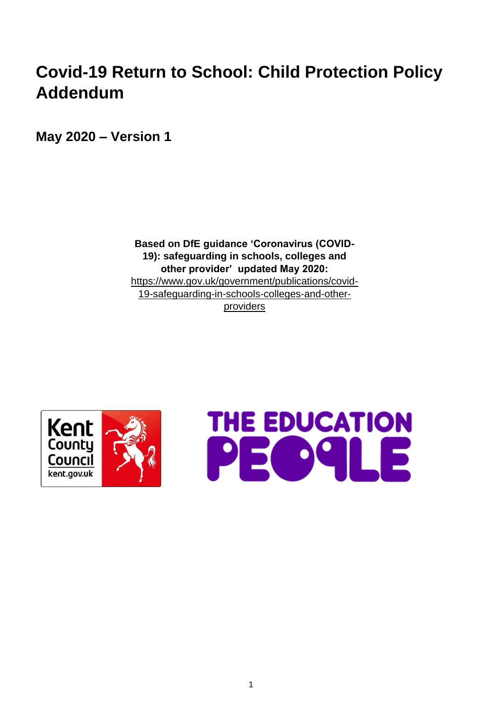# **Covid-19 Return to School: Child Protection Policy Addendum**

**May 2020 – Version 1**

**Based on DfE guidance 'Coronavirus (COVID-19): safeguarding in schools, colleges and other provider' updated May 2020:**  [https://www.gov.uk/government/publications/covid-](https://www.gov.uk/government/publications/covid-19-safeguarding-in-schools-colleges-and-other-providers)[19-safeguarding-in-schools-colleges-and-other](https://www.gov.uk/government/publications/covid-19-safeguarding-in-schools-colleges-and-other-providers)[providers](https://www.gov.uk/government/publications/covid-19-safeguarding-in-schools-colleges-and-other-providers)



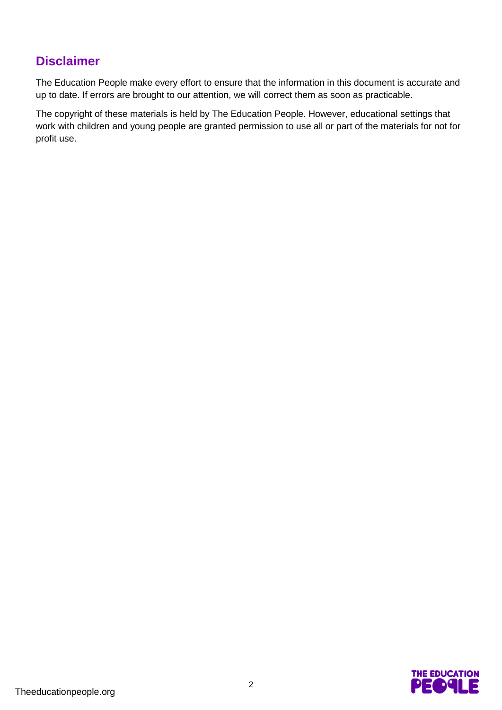## **Disclaimer**

The Education People make every effort to ensure that the information in this document is accurate and up to date. If errors are brought to our attention, we will correct them as soon as practicable.

The copyright of these materials is held by The Education People. However, educational settings that work with children and young people are granted permission to use all or part of the materials for not for profit use.

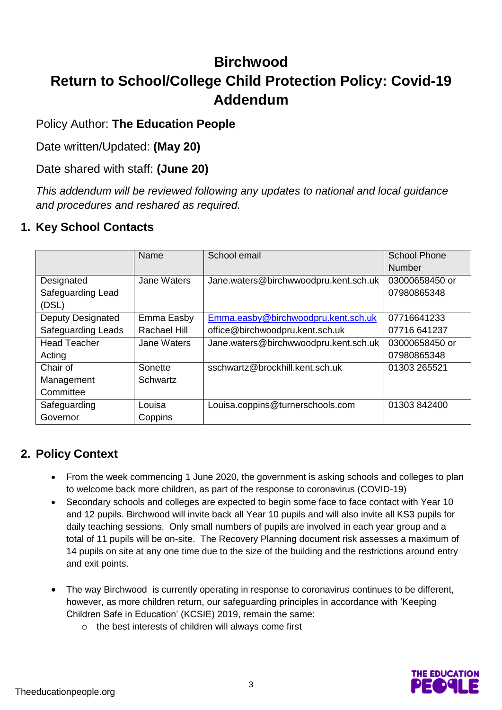## **Birchwood Return to School/College Child Protection Policy: Covid-19 Addendum**

#### Policy Author: **The Education People**

Date written/Updated: **(May 20)**

Date shared with staff: **(June 20)**

*This addendum will be reviewed following any updates to national and local guidance and procedures and reshared as required.* 

## **1. Key School Contacts**

|                           | Name         | School email                          | <b>School Phone</b><br><b>Number</b> |
|---------------------------|--------------|---------------------------------------|--------------------------------------|
|                           |              |                                       |                                      |
| Designated                | Jane Waters  | Jane.waters@birchwwoodpru.kent.sch.uk | 03000658450 or                       |
| Safeguarding Lead         |              |                                       | 07980865348                          |
| (DSL)                     |              |                                       |                                      |
| <b>Deputy Designated</b>  | Emma Easby   | Emma.easby@birchwoodpru.kent.sch.uk   | 07716641233                          |
| <b>Safeguarding Leads</b> | Rachael Hill | office@birchwoodpru.kent.sch.uk       | 07716 641237                         |
| <b>Head Teacher</b>       | Jane Waters  | Jane.waters@birchwwoodpru.kent.sch.uk | 03000658450 or                       |
| Acting                    |              |                                       | 07980865348                          |
| Chair of                  | Sonette      | sschwartz@brockhill.kent.sch.uk       | 01303 265521                         |
| Management                | Schwartz     |                                       |                                      |
| Committee                 |              |                                       |                                      |
| Safeguarding              | Louisa       | Louisa.coppins@turnerschools.com      | 01303 842400                         |
| Governor                  | Coppins      |                                       |                                      |

## **2. Policy Context**

- From the week commencing 1 June 2020, the government is asking schools and colleges to plan to welcome back more children, as part of the response to coronavirus (COVID-19)
- Secondary schools and colleges are expected to begin some face to face contact with Year 10 and 12 pupils. Birchwood will invite back all Year 10 pupils and will also invite all KS3 pupils for daily teaching sessions. Only small numbers of pupils are involved in each year group and a total of 11 pupils will be on-site. The Recovery Planning document risk assesses a maximum of 14 pupils on site at any one time due to the size of the building and the restrictions around entry and exit points.
- The way Birchwood is currently operating in response to coronavirus continues to be different, however, as more children return, our safeguarding principles in accordance with ['Keeping](https://www.gov.uk/government/publications/keeping-children-safe-in-education--2)  [Children Safe in Education'](https://www.gov.uk/government/publications/keeping-children-safe-in-education--2) (KCSIE) 2019, remain the same:
	- o the best interests of children will always come first

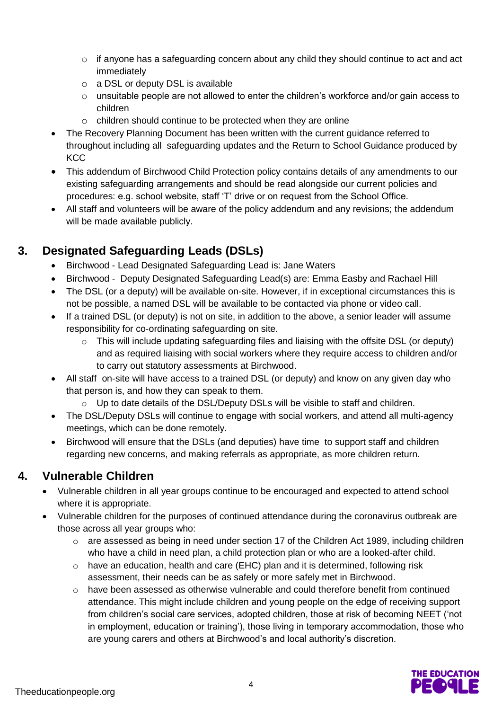- o if anyone has a safeguarding concern about any child they should continue to act and act immediately
- o a DSL or deputy DSL is available
- o unsuitable people are not allowed to enter the children's workforce and/or gain access to children
- o children should continue to be protected when they are online
- The Recovery Planning Document has been written with the current guidance referred to throughout including all safeguarding updates and the Return to School Guidance produced by **KCC**
- This addendum of Birchwood Child Protection policy contains details of any amendments to our existing safeguarding arrangements and should be read alongside our current policies and procedures: e.g. school website, staff 'T' drive or on request from the School Office.
- All staff and volunteers will be aware of the policy addendum and any revisions; the addendum will be made available publicly.

## **3. Designated Safeguarding Leads (DSLs)**

- Birchwood Lead Designated Safeguarding Lead is: Jane Waters
- Birchwood Deputy Designated Safeguarding Lead(s) are: Emma Easby and Rachael Hill
- The DSL (or a deputy) will be available on-site. However, if in exceptional circumstances this is not be possible, a named DSL will be available to be contacted via phone or video call.
- If a trained DSL (or deputy) is not on site, in addition to the above, a senior leader will assume responsibility for co-ordinating safeguarding on site.
	- o This will include updating safeguarding files and liaising with the offsite DSL (or deputy) and as required liaising with social workers where they require access to children and/or to carry out statutory assessments at Birchwood.
- All staff on-site will have access to a trained DSL (or deputy) and know on any given day who that person is, and how they can speak to them.
	- $\circ$  Up to date details of the DSL/Deputy DSLs will be visible to staff and children.
- The DSL/Deputy DSLs will continue to engage with social workers, and attend all multi-agency meetings, which can be done remotely.
- Birchwood will ensure that the DSLs (and deputies) have time to support staff and children regarding new concerns, and making referrals as appropriate, as more children return.

## **4. Vulnerable Children**

- Vulnerable children in all year groups continue to be encouraged and expected to attend school where it is appropriate.
- Vulnerable children for the purposes of continued attendance during the coronavirus outbreak are those across all year groups who:
	- $\circ$  are assessed as being in need under section 17 of the Children Act 1989, including children who have a child in need plan, a child protection plan or who are a looked-after child.
	- o have an education, health and care (EHC) plan and it is determined, following risk assessment, their needs can be as safely or more safely met in Birchwood.
	- o have been assessed as otherwise vulnerable and could therefore benefit from continued attendance. This might include children and young people on the edge of receiving support from children's social care services, adopted children, those at risk of becoming NEET ('not in employment, education or training'), those living in temporary accommodation, those who are young carers and others at Birchwood's and local authority's discretion.

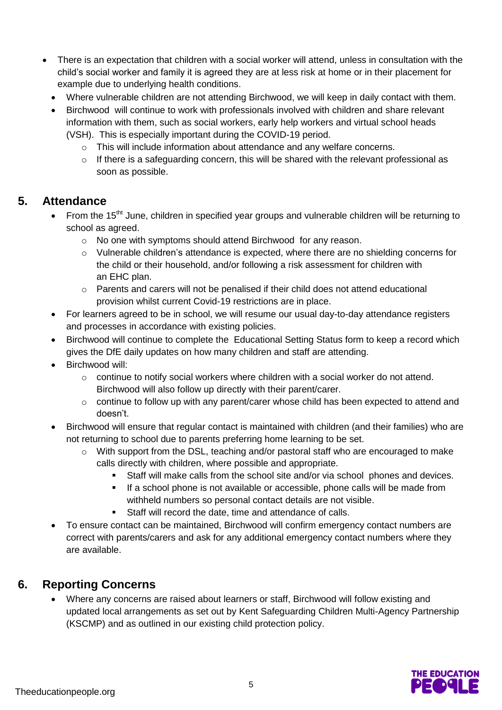- There is an expectation that children with a social worker will attend, unless in consultation with the child's social worker and family it is agreed they are at less risk at home or in their placement for example due to underlying health conditions.
	- Where vulnerable children are not attending Birchwood, we will keep in daily contact with them.
	- Birchwood will continue to work with professionals involved with children and share relevant information with them, such as social workers, early help workers and virtual school heads (VSH). This is especially important during the COVID-19 period.
		- o This will include information about attendance and any welfare concerns.
		- o If there is a safeguarding concern, this will be shared with the relevant professional as soon as possible.

#### **5. Attendance**

- From the 15<sup>tht</sup> June, children in specified year groups and vulnerable children will be returning to school as agreed.
	- o No one with symptoms should attend Birchwood for any reason.
	- $\circ$  Vulnerable children's attendance is expected, where there are no shielding concerns for the child or their household, and/or following a risk assessment for children with an EHC plan.
	- $\circ$  Parents and carers will not be penalised if their child does not attend educational provision whilst current Covid-19 restrictions are in place.
- For learners agreed to be in school, we will resume our usual day-to-day attendance registers and processes in accordance with existing policies.
- Birchwood will continue to complete the [Educational Setting Status](https://form.education.gov.uk/service/educational-setting-status) form to keep a record which gives the DfE daily updates on how many children and staff are attending.
- Birchwood will:
	- $\circ$  continue to notify social workers where children with a social worker do not attend. Birchwood will also follow up directly with their parent/carer.
	- $\circ$  continue to follow up with any parent/carer whose child has been expected to attend and doesn't.
- Birchwood will ensure that regular contact is maintained with children (and their families) who are not returning to school due to parents preferring home learning to be set.
	- $\circ$  With support from the DSL, teaching and/or pastoral staff who are encouraged to make calls directly with children, where possible and appropriate.
		- Staff will make calls from the school site and/or via school phones and devices.
		- If a school phone is not available or accessible, phone calls will be made from withheld numbers so personal contact details are not visible.
		- Staff will record the date, time and attendance of calls.
- To ensure contact can be maintained, Birchwood will confirm emergency contact numbers are correct with parents/carers and ask for any additional emergency contact numbers where they are available.

#### **6. Reporting Concerns**

 Where any concerns are raised about learners or staff, Birchwood will follow existing and updated local arrangements as set out by [Kent Safeguarding Children Multi-Agency Partnership](https://www.kscmp.org.uk/) (KSCMP) and as outlined in our existing child protection policy.

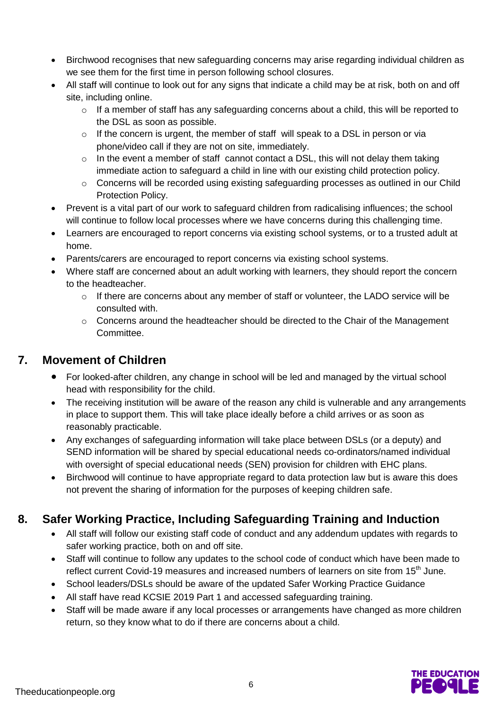- Birchwood recognises that new safeguarding concerns may arise regarding individual children as we see them for the first time in person following school closures.
- All staff will continue to look out for any signs that indicate a child may be at risk, both on and off site, including online.
	- o If a member of staff has any safeguarding concerns about a child, this will be reported to the DSL as soon as possible.
	- o If the concern is urgent, the member of staff will speak to a DSL in person or via phone/video call if they are not on site, immediately.
	- $\circ$  In the event a member of staff cannot contact a DSL, this will not delay them taking immediate action to safeguard a child in line with our existing child protection policy.
	- o Concerns will be recorded using existing safeguarding processes as outlined in our Child Protection Policy.
- Prevent is a vital part of our work to safeguard children from radicalising influences; the school will continue to follow local processes where we have concerns during this challenging time.
- Learners are encouraged to report concerns via existing school systems, or to a trusted adult at home.
- Parents/carers are encouraged to report concerns via existing school systems.
- Where staff are concerned about an adult working with learners, they should report the concern to the headteacher.
	- $\circ$  If there are concerns about any member of staff or volunteer, the LADO service will be consulted with.
	- o Concerns around the headteacher should be directed to the Chair of the Management Committee.

## **7. Movement of Children**

- For looked-after children, any change in school will be led and managed by the virtual school head with responsibility for the child.
- The receiving institution will be aware of the reason any child is vulnerable and any arrangements in place to support them. This will take place ideally before a child arrives or as soon as reasonably practicable.
- Any exchanges of safeguarding information will take place between DSLs (or a deputy) and SEND information will be shared by special educational needs co-ordinators/named individual with oversight of special educational needs (SEN) provision for children with EHC plans.
- Birchwood will continue to have appropriate regard to data protection law but is aware this does not prevent the sharing of information for the purposes of keeping children safe.

## **8. Safer Working Practice, Including Safeguarding Training and Induction**

- All staff will follow our existing staff code of conduct and any addendum updates with regards to safer working practice, both on and off site.
- Staff will continue to follow any updates to the school code of conduct which have been made to reflect current Covid-19 measures and increased numbers of learners on site from 15<sup>th</sup> June.
- School leaders/DSLs should be aware of the updated [Safer Working Practice](https://www.saferrecruitmentconsortium.org/GSWP%20COVID%20addendum%20April%202020%20final.pdf) Guidance
- All staff have read KCSIE 2019 Part 1 and accessed safeguarding training.
- Staff will be made aware if any local processes or arrangements have changed as more children return, so they know what to do if there are concerns about a child.

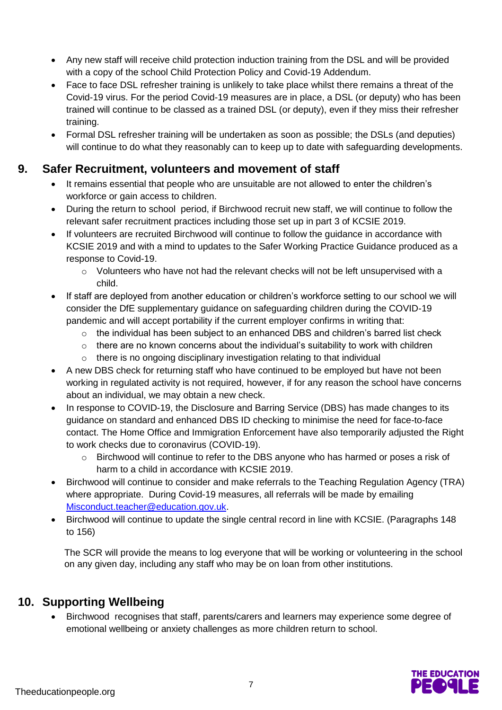- Any new staff will receive child protection induction training from the DSL and will be provided with a copy of the school Child Protection Policy and Covid-19 Addendum.
- Face to face DSL refresher training is unlikely to take place whilst there remains a threat of the Covid-19 virus. For the period Covid-19 measures are in place, a DSL (or deputy) who has been trained will continue to be classed as a trained DSL (or deputy), even if they miss their refresher training.
- Formal DSL refresher training will be undertaken as soon as possible; the DSLs (and deputies) will continue to do what they reasonably can to keep up to date with safeguarding developments.

#### **9. Safer Recruitment, volunteers and movement of staff**

- It remains essential that people who are unsuitable are not allowed to enter the children's workforce or gain access to children.
- During the return to school period, if Birchwood recruit new staff, we will continue to follow the relevant safer recruitment practices including those set up in part 3 of KCSIE 2019.
- If volunteers are recruited Birchwood will continue to follow the guidance in accordance with KCSIE 2019 and with a mind to updates to the [Safer Working Practice Guidance](https://www.saferrecruitmentconsortium.org/GSWP%20COVID%20addendum%20April%202020%20final.pdf) produced as a response to Covid-19.
	- o Volunteers who have not had the relevant checks will not be left unsupervised with a child.
- If staff are deployed from another education or children's workforce setting to our school we will consider the DfE supplementary guidance on safeguarding children during the COVID-19 pandemic and will accept portability if the current employer confirms in writing that:
	- $\circ$  the individual has been subject to an enhanced DBS and children's barred list check
	- $\circ$  there are no known concerns about the individual's suitability to work with children
	- o there is no ongoing disciplinary investigation relating to that individual
- A new DBS check for returning staff who have continued to be employed but have not been working in regulated activity is not required, however, if for any reason the school have concerns about an individual, we may obtain a new check.
- In response to COVID-19, the Disclosure and Barring Service (DBS) has made changes to its guidance on [standard and enhanced DBS ID](https://www.gov.uk/government/news/covid-19-changes-to-dbs-id-checking-guidelines) checking to minimise the need for face-to-face contact. The Home Office and Immigration Enforcement have also temporarily adjusted the [Right](https://www.gov.uk/guidance/coronavirus-covid-19-right-to-work-checks)  [to work checks](https://www.gov.uk/guidance/coronavirus-covid-19-right-to-work-checks) due to coronavirus (COVID-19).
	- $\circ$  Birchwood will continue to refer to the DBS anyone who has harmed or poses a risk of harm to a child in accordance with KCSIE 2019.
- Birchwood will continue to consider and make referrals to the Teaching Regulation Agency (TRA) where appropriate. During Covid-19 measures, all referrals will be made by emailing [Misconduct.teacher@education.gov.uk.](mailto:Misconduct.teacher@education.gov.uk)
- Birchwood will continue to update the single central record in line with KCSIE. (Paragraphs 148 to 156)

The SCR will provide the means to log everyone that will be working or volunteering in the school on any given day, including any staff who may be on loan from other institutions.

## **10. Supporting Wellbeing**

 Birchwood recognises that staff, parents/carers and learners may experience some degree of emotional wellbeing or anxiety challenges as more children return to school.

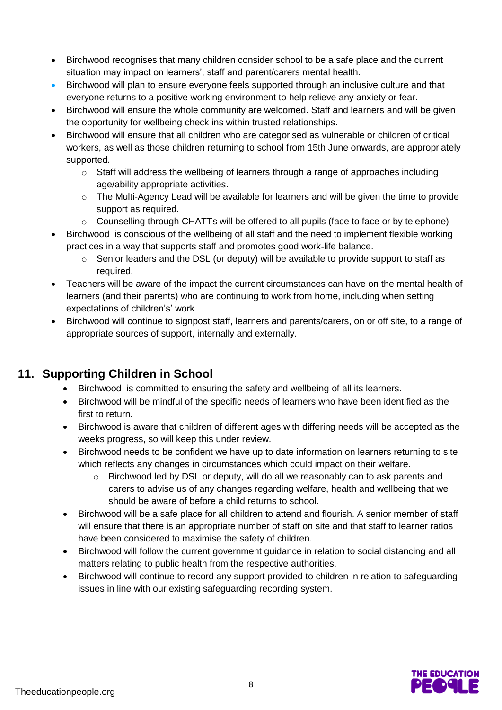- Birchwood recognises that many children consider school to be a safe place and the current situation may impact on learners', staff and parent/carers mental health.
- Birchwood will plan to ensure everyone feels supported through an inclusive culture and that everyone returns to a positive working environment to help relieve any anxiety or fear.
- Birchwood will ensure the whole community are welcomed. Staff and learners and will be given the opportunity for wellbeing check ins within trusted relationships.
- Birchwood will ensure that all children who are categorised as vulnerable or children of critical workers, as well as those children returning to school from 15th June onwards, are appropriately supported.
	- $\circ$  Staff will address the wellbeing of learners through a range of approaches including age/ability appropriate activities.
	- $\circ$  The Multi-Agency Lead will be available for learners and will be given the time to provide support as required.
	- o Counselling through CHATTs will be offered to all pupils (face to face or by telephone)
- Birchwood is conscious of the wellbeing of all staff and the need to implement flexible working practices in a way that supports staff and promotes good work-life balance.
	- o Senior leaders and the DSL (or deputy) will be available to provide support to staff as required.
- Teachers will be aware of the impact the current circumstances can have on the mental health of learners (and their parents) who are continuing to work from home, including when setting expectations of children's' work.
- Birchwood will continue to signpost staff, learners and parents/carers, on or off site, to a range of appropriate sources of support, internally and externally.

## **11. Supporting Children in School**

- Birchwood is committed to ensuring the safety and wellbeing of all its learners.
- Birchwood will be mindful of the specific needs of learners who have been identified as the first to return.
- Birchwood is aware that children of different ages with differing needs will be accepted as the weeks progress, so will keep this under review.
- Birchwood needs to be confident we have up to date information on learners returning to site which reflects any changes in circumstances which could impact on their welfare.
	- $\circ$  Birchwood led by DSL or deputy, will do all we reasonably can to ask parents and carers to advise us of any changes regarding welfare, health and wellbeing that we should be aware of before a child returns to school.
- Birchwood will be a safe place for all children to attend and flourish. A senior member of staff will ensure that there is an appropriate number of staff on site and that staff to learner ratios have been considered to maximise the safety of children.
- Birchwood will follow the current government guidance in relation to social distancing and all matters relating to public health from the respective authorities.
- Birchwood will continue to record any support provided to children in relation to safeguarding issues in line with our existing safeguarding recording system.

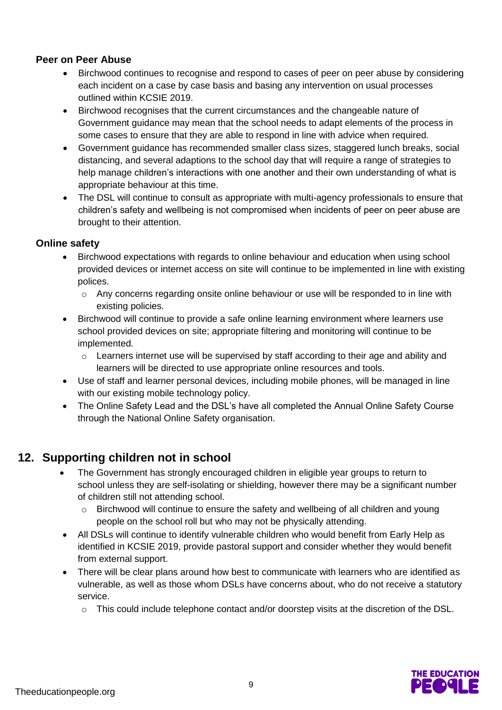#### **Peer on Peer Abuse**

- Birchwood continues to recognise and respond to cases of peer on peer abuse by considering each incident on a case by case basis and basing any intervention on usual processes outlined within KCSIE 2019.
- Birchwood recognises that the current circumstances and the changeable nature of Government guidance may mean that the school needs to adapt elements of the process in some cases to ensure that they are able to respond in line with advice when required.
- Government guidance has recommended smaller class sizes, staggered lunch breaks, social distancing, and several adaptions to the school day that will require a range of strategies to help manage children's interactions with one another and their own understanding of what is appropriate behaviour at this time.
- The DSL will continue to consult as appropriate with multi-agency professionals to ensure that children's safety and wellbeing is not compromised when incidents of peer on peer abuse are brought to their attention.

#### **Online safety**

- Birchwood expectations with regards to online behaviour and education when using school provided devices or internet access on site will continue to be implemented in line with existing polices.
	- o Any concerns regarding onsite online behaviour or use will be responded to in line with existing policies.
- Birchwood will continue to provide a safe online learning environment where learners use school provided devices on site; appropriate filtering and monitoring will continue to be implemented.
	- $\circ$  Learners internet use will be supervised by staff according to their age and ability and learners will be directed to use appropriate online resources and tools.
- Use of staff and learner personal devices, including mobile phones, will be managed in line with our existing mobile technology policy.
- The Online Safety Lead and the DSL's have all completed the Annual Online Safety Course through the National Online Safety organisation.

## **12. Supporting children not in school**

- The Government has strongly encouraged children in eligible year groups to return to school unless they are self-isolating or shielding, however there may be a significant number of children still not attending school.
	- o Birchwood will continue to ensure the safety and wellbeing of all children and young people on the school roll but who may not be physically attending.
- All DSLs will continue to identify vulnerable children who would benefit from Early Help as identified in KCSIE 2019, provide pastoral support and consider whether they would benefit from external support.
- There will be clear plans around how best to communicate with learners who are identified as vulnerable, as well as those whom DSLs have concerns about, who do not receive a statutory service.
	- $\circ$  This could include telephone contact and/or doorstep visits at the discretion of the DSL.

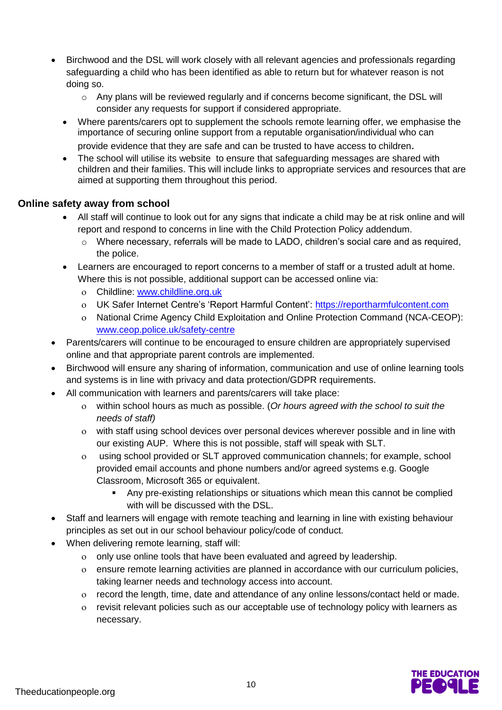- Birchwood and the DSL will work closely with all relevant agencies and professionals regarding safeguarding a child who has been identified as able to return but for whatever reason is not doing so.
	- $\circ$  Any plans will be reviewed regularly and if concerns become significant, the DSL will consider any requests for support if considered appropriate.
	- Where parents/carers opt to supplement the schools remote learning offer, we emphasise the importance of securing online support from a reputable organisation/individual who can provide evidence that they are safe and can be trusted to have access to children.
	- The school will utilise its website to ensure that safeguarding messages are shared with children and their families. This will include links to appropriate services and resources that are aimed at supporting them throughout this period.

#### **Online safety away from school**

- All staff will continue to look out for any signs that indicate a child may be at risk online and will report and respond to concerns in line with the Child Protection Policy addendum.
	- o Where necessary, referrals will be made to LADO, children's social care and as required, the police.
- Learners are encouraged to report concerns to a member of staff or a trusted adult at home. Where this is not possible, additional support can be accessed online via:
	- Childline: [www.childline.org.uk](http://www.childline.org.uk/)
	- UK Safer Internet Centre's 'Report Harmful Content': [https://reportharmfulcontent.com](https://reportharmfulcontent.com/)
	- National Crime Agency Child Exploitation and Online Protection Command (NCA-CEOP): [www.ceop.police.uk/safety-centre](https://www.ceop.police.uk/safety-centre/)
- Parents/carers will continue to be encouraged to ensure children are appropriately supervised online and that appropriate parent controls are implemented.
- Birchwood will ensure any sharing of information, communication and use of online learning tools and systems is in line with privacy and data protection/GDPR requirements.
- All communication with learners and parents/carers will take place:
	- within school hours as much as possible. (*Or hours agreed with the school to suit the needs of staff)*
	- with staff using school devices over personal devices wherever possible and in line with our existing AUP. Where this is not possible, staff will speak with SLT.
	- using school provided or SLT approved communication channels; for example, school provided email accounts and phone numbers and/or agreed systems e.g. Google Classroom, Microsoft 365 or equivalent.
		- Any pre-existing relationships or situations which mean this cannot be complied with will be discussed with the DSL.
- Staff and learners will engage with remote teaching and learning in line with existing behaviour principles as set out in our school behaviour policy/code of conduct.
- When delivering remote learning, staff will:
	- only use online tools that have been evaluated and agreed by leadership.
	- ensure remote learning activities are planned in accordance with our curriculum policies, taking learner needs and technology access into account.
	- record the length, time, date and attendance of any online lessons/contact held or made.
	- revisit relevant policies such as our acceptable use of technology policy with learners as necessary.

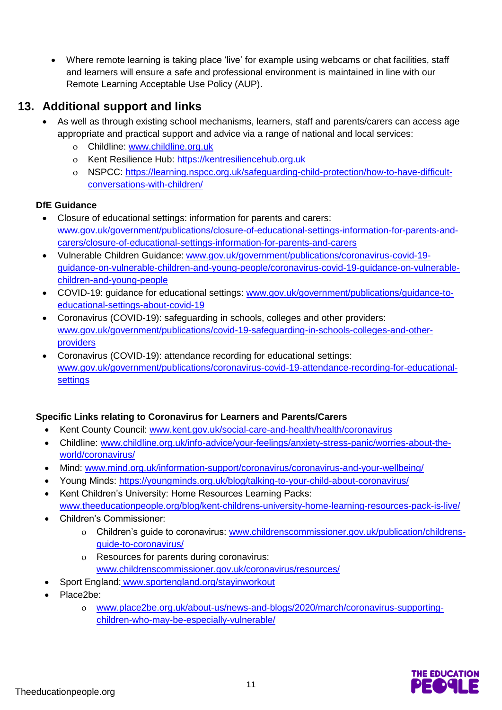• Where remote learning is taking place 'live' for example using webcams or chat facilities, staff and learners will ensure a safe and professional environment is maintained in line with our Remote Learning Acceptable Use Policy (AUP).

#### **13. Additional support and links**

- As well as through existing school mechanisms, learners, staff and parents/carers can access age appropriate and practical support and advice via a range of national and local services:
	- Childline: [www.childline.org.uk](https://www.childline.org.uk/)
	- o Kent Resilience Hub: [https://kentresiliencehub.org.uk](https://kentresiliencehub.org.uk/)
	- NSPCC: [https://learning.nspcc.org.uk/safeguarding-child-protection/how-to-have-difficult](https://learning.nspcc.org.uk/safeguarding-child-protection/how-to-have-difficult-conversations-with-children/)[conversations-with-children/](https://learning.nspcc.org.uk/safeguarding-child-protection/how-to-have-difficult-conversations-with-children/)

#### **DfE Guidance**

- Closure of educational settings: information for parents and carers: [www.gov.uk/government/publications/closure-of-educational-settings-information-for-parents-and](https://www.gov.uk/government/publications/closure-of-educational-settings-information-for-parents-and-carers/closure-of-educational-settings-information-for-parents-and-carers)[carers/closure-of-educational-settings-information-for-parents-and-carers](https://www.gov.uk/government/publications/closure-of-educational-settings-information-for-parents-and-carers/closure-of-educational-settings-information-for-parents-and-carers)
- Vulnerable Children Guidance: [www.gov.uk/government/publications/coronavirus-covid-19](https://www.gov.uk/government/publications/coronavirus-covid-19-guidance-on-vulnerable-children-and-young-people/coronavirus-covid-19-guidance-on-vulnerable-children-and-young-people) [guidance-on-vulnerable-children-and-young-people/coronavirus-covid-19-guidance-on-vulnerable](https://www.gov.uk/government/publications/coronavirus-covid-19-guidance-on-vulnerable-children-and-young-people/coronavirus-covid-19-guidance-on-vulnerable-children-and-young-people)[children-and-young-people](https://www.gov.uk/government/publications/coronavirus-covid-19-guidance-on-vulnerable-children-and-young-people/coronavirus-covid-19-guidance-on-vulnerable-children-and-young-people)
- COVID-19: guidance for educational settings: [www.gov.uk/government/publications/guidance-to](http://www.gov.uk/government/publications/guidance-to-educational-settings-about-covid-19)[educational-settings-about-covid-19](http://www.gov.uk/government/publications/guidance-to-educational-settings-about-covid-19)
- Coronavirus (COVID-19): safeguarding in schools, colleges and other providers: [www.gov.uk/government/publications/covid-19-safeguarding-in-schools-colleges-and-other](http://www.gov.uk/government/publications/covid-19-safeguarding-in-schools-colleges-and-other-providers)[providers](http://www.gov.uk/government/publications/covid-19-safeguarding-in-schools-colleges-and-other-providers)
- Coronavirus (COVID-19): attendance recording for educational settings: [www.gov.uk/government/publications/coronavirus-covid-19-attendance-recording-for-educational](http://www.gov.uk/government/publications/coronavirus-covid-19-attendance-recording-for-educational-settings)**[settings](http://www.gov.uk/government/publications/coronavirus-covid-19-attendance-recording-for-educational-settings)**

#### **Specific Links relating to Coronavirus for Learners and Parents/Carers**

- Kent County Council: [www.kent.gov.uk/social-care-and-health/health/coronavirus](http://www.kent.gov.uk/social-care-and-health/health/coronavirus)
- Childline: [www.childline.org.uk/info-advice/your-feelings/anxiety-stress-panic/worries-about-the](http://www.childline.org.uk/info-advice/your-feelings/anxiety-stress-panic/worries-about-the-world/coronavirus/)[world/coronavirus/](http://www.childline.org.uk/info-advice/your-feelings/anxiety-stress-panic/worries-about-the-world/coronavirus/)
- Mind: [www.mind.org.uk/information-support/coronavirus/coronavirus-and-your-wellbeing/](http://www.mind.org.uk/information-support/coronavirus/coronavirus-and-your-wellbeing/)
- Young Minds: <https://youngminds.org.uk/blog/talking-to-your-child-about-coronavirus/>
- Kent Children's University: Home Resources Learning Packs: [www.theeducationpeople.org/blog/kent-childrens-university-home-learning-resources-pack-is-live/](http://www.theeducationpeople.org/blog/kent-childrens-university-home-learning-resources-pack-is-live/)
- Children's Commissioner:
	- Children's guide to coronavirus: [www.childrenscommissioner.gov.uk/publication/childrens](http://www.childrenscommissioner.gov.uk/publication/childrens-guide-to-coronavirus/)[guide-to-coronavirus/](http://www.childrenscommissioner.gov.uk/publication/childrens-guide-to-coronavirus/)
	- Resources for parents during coronavirus: [www.childrenscommissioner.gov.uk/coronavirus/resources/](http://www.childrenscommissioner.gov.uk/coronavirus/resources/)
- Sport England: [www.sportengland.org/stayinworkout](http://www.sportengland.org/stayinworkout)
- Place2be:
	- [www.place2be.org.uk/about-us/news-and-blogs/2020/march/coronavirus-supporting](http://www.place2be.org.uk/about-us/news-and-blogs/2020/march/coronavirus-supporting-children-who-may-be-especially-vulnerable/)[children-who-may-be-especially-vulnerable/](http://www.place2be.org.uk/about-us/news-and-blogs/2020/march/coronavirus-supporting-children-who-may-be-especially-vulnerable/)